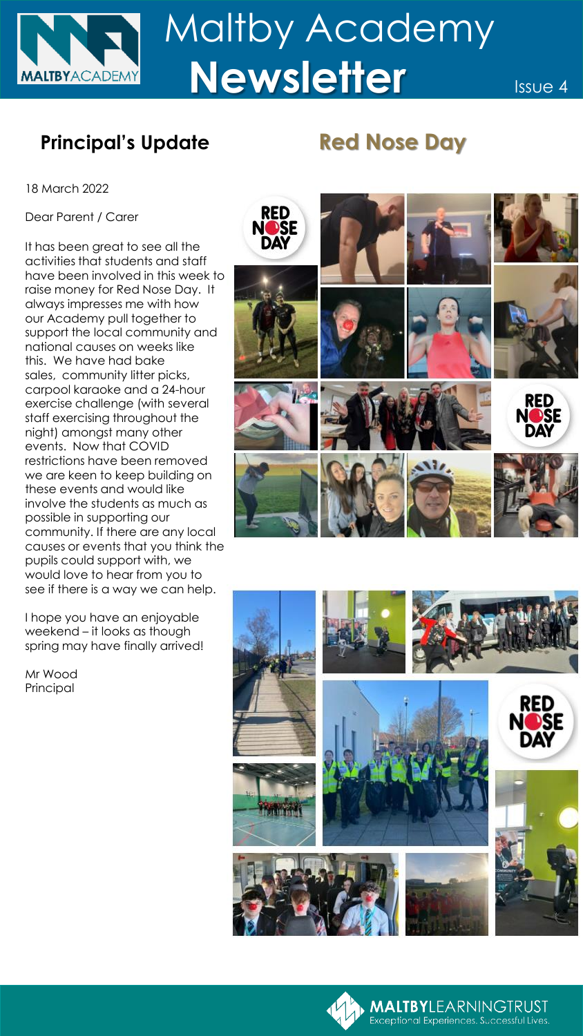

## **Principal's Update Red Nose Day**

18 March 2022

Dear Parent / Carer

It has been great to see all the activities that students and staff have been involved in this week to raise money for Red Nose Day. It always impresses me with how our Academy pull together to support the local community and national causes on weeks like this. We have had bake sales, community litter picks, carpool karaoke and a 24-hour exercise challenge (with several staff exercising throughout the night) amongst many other events. Now that COVID restrictions have been removed we are keen to keep building on these events and would like involve the students as much as possible in supporting our community. If there are any local causes or events that you think the pupils could support with, we would love to hear from you to see if there is a way we can help.

I hope you have an enjoyable weekend – it looks as though spring may have finally arrived!

Mr Wood Principal





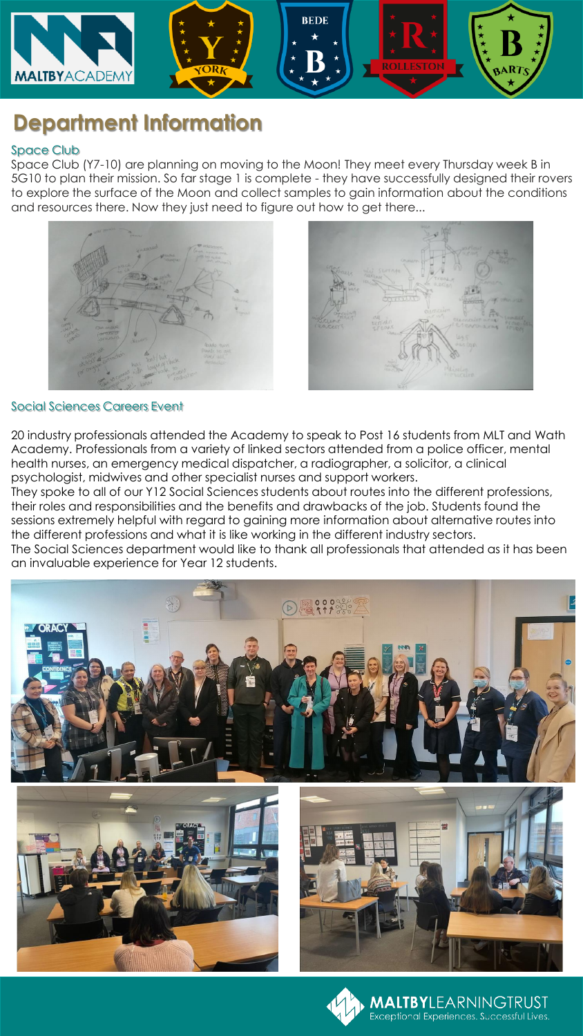

# **Department Information**

### Space Club

Space Club (Y7-10) are planning on moving to the Moon! They meet every Thursday week B in 5G10 to plan their mission. So far stage 1 is complete - they have successfully designed their rovers to explore the surface of the Moon and collect samples to gain information about the conditions and resources there. Now they just need to figure out how to get there...





### Social Sciences Careers Event

20 industry professionals attended the Academy to speak to Post 16 students from MLT and Wath Academy. Professionals from a variety of linked sectors attended from a police officer, mental health nurses, an emergency medical dispatcher, a radiographer, a solicitor, a clinical psychologist, midwives and other specialist nurses and support workers.

They spoke to all of our Y12 Social Sciences students about routes into the different professions, their roles and responsibilities and the benefits and drawbacks of the job. Students found the sessions extremely helpful with regard to gaining more information about alternative routes into the different professions and what it is like working in the different industry sectors. The Social Sciences department would like to thank all professionals that attended as it has been an invaluable experience for Year 12 students.